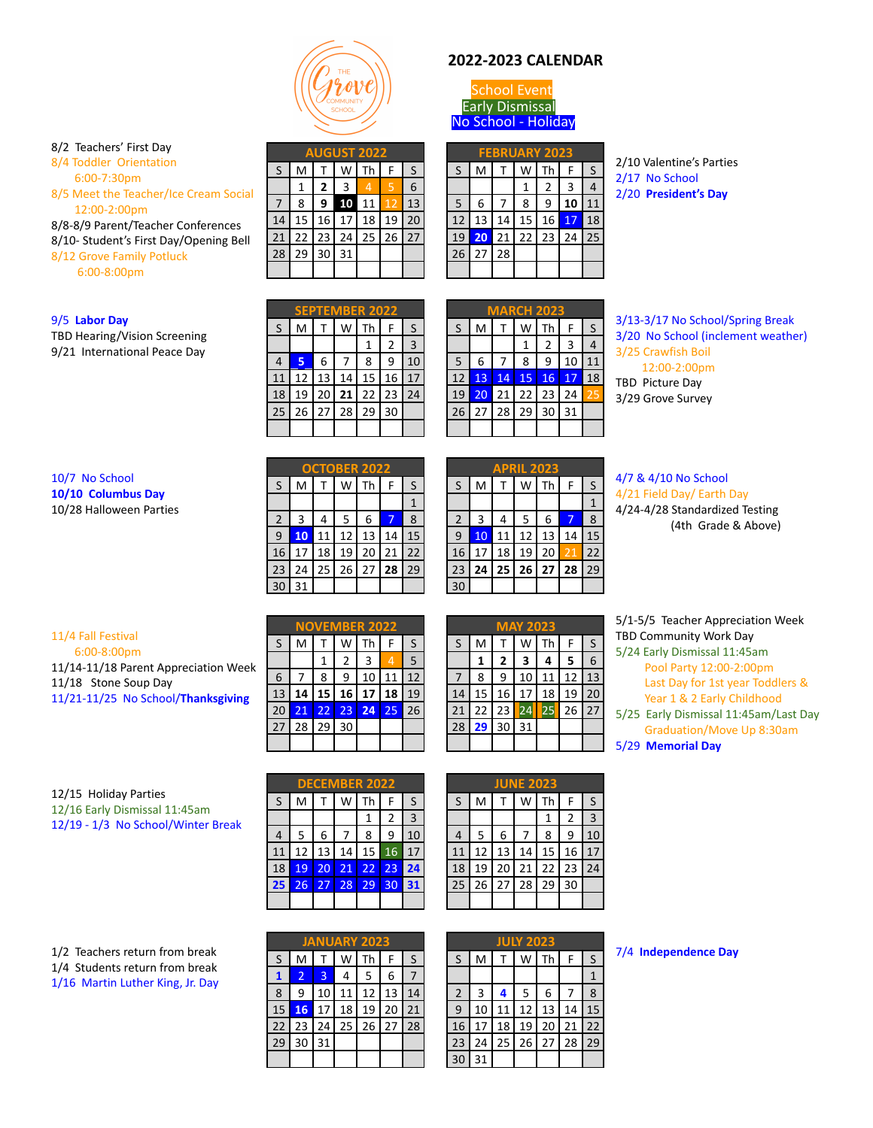

**AUGUST 2022**  $S \mid M \mid T \mid W \mid Th \mid F \mid S$  **2** 3 4 5 6 8 **9 10** 11 12 13 15 16 17 18 19 20 22 23 24 25 26 27

# **2022-2023 CALENDAR**

# School Event Early Dismissal No School - Holiday

| <b>FEBRUARY 2023</b> |         |    |                |       |    |    |  |  |  |
|----------------------|---------|----|----------------|-------|----|----|--|--|--|
| $\sf S$              | M       |    | W              | $Th_$ | F  | S  |  |  |  |
|                      |         |    |                | 2     | 3  |    |  |  |  |
| 5                    | 6       |    | 8              | q     | 10 | 11 |  |  |  |
| 12                   | 13      | 14 | 15             | 16    | 17 | 18 |  |  |  |
| 19                   | 20      | 21 | $22$   23   24 |       |    | 25 |  |  |  |
| 26                   | $27$ 28 |    |                |       |    |    |  |  |  |
|                      |         |    |                |       |    |    |  |  |  |

#### 2/10 Valentine's Parties 2/17 No School 2/20 **President's Day**

#### 8/2 Teachers' First Day

9/5 **Labor Day**

8/4 Toddler Orientation 6:00-7:30pm

TBD Hearing/Vision Screening 9/21 International Peace Day

8/5 Meet the Teacher/Ice Cream Social 12:00-2:00pm

8/8-8/9 Parent/Teacher Conferences 8/10- Student's First Day/Opening Bell 8/12 Grove Family Potluck 6:00-8:00pm

| <b>SEPTEMBER 2022</b> |    |                 |    |    |    |    |  |
|-----------------------|----|-----------------|----|----|----|----|--|
| $\sf S$               | M  | Т               | W  | Th | F  | S  |  |
|                       |    |                 |    | 1  | 2  | 3  |  |
| $\overline{4}$        | 5  | 6               |    | 8  | 9  | 10 |  |
| 11                    | 12 | 13              | 14 | 15 | 16 | 17 |  |
| 18                    | 19 | 20              | 21 | 22 | 23 | 24 |  |
| 25                    | 26 | 27 <sup>1</sup> | 28 | 29 | 30 |    |  |
|                       |    |                 |    |    |    |    |  |

28 29 30 31

| <b>MARCH 2023</b>           |    |    |    |                |    |    |  |  |  |
|-----------------------------|----|----|----|----------------|----|----|--|--|--|
| Th<br>S<br>M<br>S<br>т<br>F |    |    |    |                |    |    |  |  |  |
|                             |    |    | 1  | 2              | 3  | Δ  |  |  |  |
| 5                           | 6  |    | 8  | 9              | 10 |    |  |  |  |
| 12                          | 13 | 14 | 15 | 16             | 17 | 18 |  |  |  |
| 19                          | 20 | 21 | 22 | $\frac{23}{2}$ | 24 | 25 |  |  |  |
| 26                          | 27 | 28 | 29 | 30             | 31 |    |  |  |  |
|                             |    |    |    |                |    |    |  |  |  |

3/13-3/17 No School/Spring Break 3/20 No School (inclement weather)

3/25 Crawfish Boil 12:00-2:00pm TBD Picture Day 3/29 Grove Survey

### 10/7 No School **10/10 Columbus Day** 10/28 Halloween Parties

| <b>OCTOBER 2022</b> |    |    |                |    |    |    |  |  |
|---------------------|----|----|----------------|----|----|----|--|--|
| S                   | M  |    | W              | Th | F  | S  |  |  |
|                     |    |    |                |    |    | 1  |  |  |
| 2                   | ╕  | 4  | $\overline{5}$ | 6  |    | 8  |  |  |
| 9                   |    | 11 | 12             | 13 | 14 | 15 |  |  |
| 16                  | 17 | 18 | 19             | 20 | 21 | 22 |  |  |
| 23                  | 24 | 25 | 26             | 27 | 28 | 29 |  |  |
|                     |    |    |                |    |    |    |  |  |

|    | <b>APRIL 2023</b> |    |       |    |    |    |  |  |  |  |
|----|-------------------|----|-------|----|----|----|--|--|--|--|
| S  | M                 | т  | W     | Th | F  | S  |  |  |  |  |
|    |                   |    |       |    |    |    |  |  |  |  |
| 2  | 3                 | 4  | 5     | 6  |    | 8  |  |  |  |  |
| 9  | 10                | 11 | 12    | 13 | 14 | 15 |  |  |  |  |
| 16 | 17                | 18 | 19    | 20 | 21 | 22 |  |  |  |  |
| 23 | 24                |    | 25 26 | 27 | 28 | 29 |  |  |  |  |
|    |                   |    |       |    |    |    |  |  |  |  |

## 4/7 & 4/10 No School 4/21 Field Day/ Earth Day 4/24-4/28 Standardized Testing

(4th Grade & Above)

| 11/4 Fall Festival                   |
|--------------------------------------|
| $6:00-8:00$ pm                       |
| 11/14-11/18 Parent Appreciation Week |
| 11/18 Stone Soup Day                 |
| 11/21-11/25 No School/Thanksgiving   |

| <b>NOVEMBER 2022</b> |                 |                 |                 |    |    |    |  |  |
|----------------------|-----------------|-----------------|-----------------|----|----|----|--|--|
| S                    | M               | Τ               | w               | Th | F. | S  |  |  |
|                      |                 |                 | 2               | 3  |    | 5  |  |  |
| 6                    |                 | 8               | 9               | 10 | 11 | 12 |  |  |
| 13                   | 14 <sup>1</sup> |                 | 15 16 17        |    | 18 | 19 |  |  |
| 20                   | 21              | 22 <sub>1</sub> | 23 <sup>1</sup> | 24 | 25 | 26 |  |  |
| 27                   | 28              | $29$   30       |                 |    |    |    |  |  |
|                      |                 |                 |                 |    |    |    |  |  |

| <b>MAY 2023</b> |    |    |    |    |    |    |  |  |  |
|-----------------|----|----|----|----|----|----|--|--|--|
| S               | M  | т  | W  | Th | F  | S  |  |  |  |
|                 | 1  | 2  | 3  | 4  | 5  | 6  |  |  |  |
| 7               | 8  | 9  | 10 | 11 | 12 | 13 |  |  |  |
| 14              | 15 | 16 | 17 | 18 | 19 | 20 |  |  |  |
| 21              | 22 | 23 | 24 | 25 | 26 | 27 |  |  |  |
| 28              | 29 | 30 | 31 |    |    |    |  |  |  |
|                 |    |    |    |    |    |    |  |  |  |

5/1-5/5 Teacher Appreciation Week TBD Community Work Day

5/24 Early Dismissal 11:45am Pool Party 12:00-2:00pm Last Day for 1st year Toddlers & Year 1 & 2 Early Childhood

5/25 Early Dismissal 11:45am/Last Day Graduation/Move Up 8:30am

5/29 **Memorial Day**

12/15 Holiday Parties 12/16 Early Dismissal 11:45am 12/19 - 1/3 No School/Winter Break

| <b>DECEMBER 2022</b> |    |                 |    |    |    |    |  |  |
|----------------------|----|-----------------|----|----|----|----|--|--|
| S                    | M  | т               | W  | Th | F  | S  |  |  |
|                      |    |                 |    | 1  | 2  | 3  |  |  |
| $\overline{A}$       | 5  | 6               |    | 8  | 9  | 10 |  |  |
| 11                   | 12 | 13              | 14 | 15 | 16 | 17 |  |  |
| 18                   | 19 | 20              | 21 | 22 | 23 | 24 |  |  |
| 25                   | 26 | 27 <sup>1</sup> | 28 | 29 | 30 |    |  |  |
|                      |    |                 |    |    |    |    |  |  |

| <b>JUNE 2023</b> |    |    |    |    |    |    |  |  |  |
|------------------|----|----|----|----|----|----|--|--|--|
| S                | M  |    | W  | Th | F  | S  |  |  |  |
|                  |    |    |    |    | 2  | 3  |  |  |  |
| $\overline{4}$   | 5  | 6  |    | 8  | ٩  | 10 |  |  |  |
| 11               | 12 | 13 | 14 | 15 | 16 | 17 |  |  |  |
| 18               | 19 | 20 | 21 | 22 | 23 | 24 |  |  |  |
| 25               | 26 | 27 | 28 | 29 | 30 |    |  |  |  |
|                  |    |    |    |    |    |    |  |  |  |

1/2 Teachers return from break 1/4 Students return from break 1/16 Martin Luther King, Jr. Day

| <b>JANUARY 2023</b> |                 |              |                |           |     |    |  |  |
|---------------------|-----------------|--------------|----------------|-----------|-----|----|--|--|
| S                   | M               | $\mathsf{T}$ | W              | Th        | F   | S  |  |  |
|                     | 2               | 3            | 4              | 5         | 6   |    |  |  |
| 8                   | ٩               | 10           | 11             | $12$   13 |     | 14 |  |  |
| 15                  | 16 <sup>°</sup> | $17$ 18      |                | 19        | 120 | 21 |  |  |
| 22                  |                 |              | 23 24 25 26 27 |           |     | 28 |  |  |
| 29                  | 30              | l 31         |                |           |     |    |  |  |
|                     |                 |              |                |           |     |    |  |  |

| <b>JULY 2023</b> |    |    |    |    |    |  |  |  |  |
|------------------|----|----|----|----|----|--|--|--|--|
| M                |    | W  | Th | F  | S  |  |  |  |  |
|                  |    |    |    |    |    |  |  |  |  |
| 3                | Δ  | 5  | 6  |    | 8  |  |  |  |  |
| 10               | 11 | 12 | 13 | 14 | 15 |  |  |  |  |
| 17               | 18 | 19 | 20 | 21 | 22 |  |  |  |  |
| 24               | 25 | 26 | 27 | 28 | 29 |  |  |  |  |
| 31               |    |    |    |    |    |  |  |  |  |
|                  |    |    |    |    |    |  |  |  |  |

## 7/4 **Independence Day**